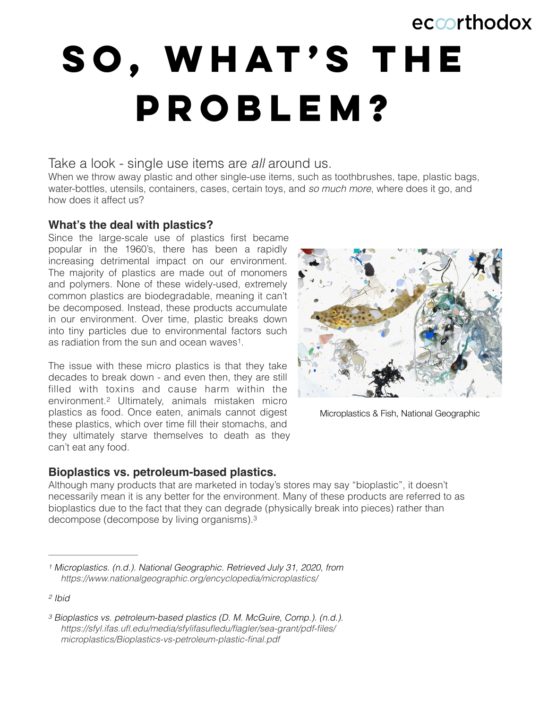# eccorthodox

# SO, WHAT'S THE **problem?**

# Take a look - single use items are *all* around us.

When we throw away plastic and other single-use items, such as toothbrushes, tape, plastic bags, water-bottles, utensils, containers, cases, certain toys, and *so much more*, where does it go, and how does it affect us?

### **What's the deal with plastics?**

Since the large-scale use of plastics first became popular in the 1960's, there has been a rapidly increasing detrimental impact on our environment. The majority of plastics are made out of monomers and polymers. None of these widely-used, extremely common plastics are biodegradable, meaning it can't be decomposed. Instead, these products accumulate in our environment. Over time, plastic breaks down into tiny particles due to environmental factors such as radiation from the sun and ocean waves<sup>[1](#page-0-0)</sup>.

<span id="page-0-4"></span>The issue with these micro plastics is that they take decades to break down - and even then, they are still filled with toxins and cause harm within the environment.<sup>[2](#page-0-1)</sup> Ultimately, animals mistaken micro plastics as food. Once eaten, animals cannot digest these plastics, which over time fill their stomachs, and they ultimately starve themselves to death as they can't eat any food.

<span id="page-0-3"></span>

<span id="page-0-5"></span>Microplastics & Fish, National Geographic

#### **Bioplastics vs. petroleum-based plastics.**

Although many products that are marketed in today's stores may say "bioplastic", it doesn't necessarily mean it is any better for the environment. Many of these products are referred to as bioplastics due to the fact that they can degrade (physically break into pieces) rather than decompose (decompose by living organisms)[.3](#page-0-2)

<span id="page-0-0"></span>*Microplastics. (n.d.). National Geographic. Retrieved July 31, 2020, from [1](#page-0-3) https://www.nationalgeographic.org/encyclopedia/microplastics/* 

<span id="page-0-1"></span>*[<sup>2</sup>](#page-0-4) Ibid*

<span id="page-0-2"></span>*Bioplastics vs. petroleum*‐*based plastics (D. M. McGuire, Comp.). (n.d.). [3](#page-0-5) https://sfyl.ifas.ufl.edu/media/sfylifasufledu/flagler/sea-grant/pdf-files/ microplastics/Bioplastics-vs-petroleum-plastic-final.pdf*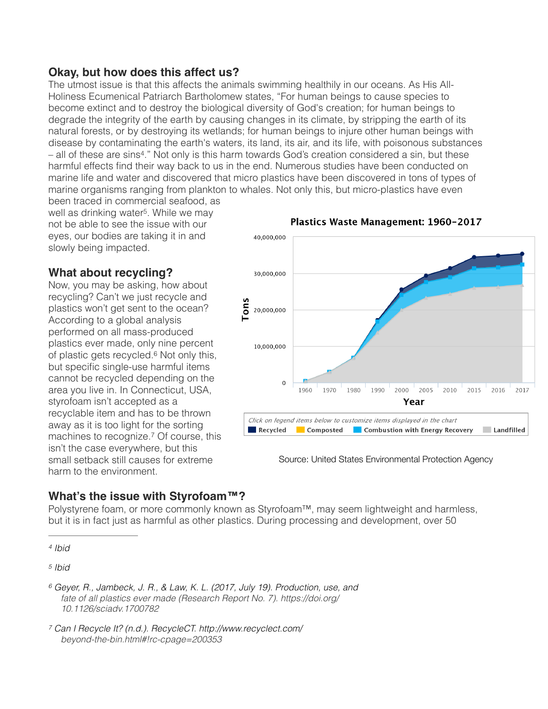## **Okay, but how does this affect us?**

The utmost issue is that this affects the animals swimming healthily in our oceans. As His All-Holiness Ecumenical Patriarch Bartholomew states, "For human beings to cause species to become extinct and to destroy the biological diversity of God's creation; for human beings to degrade the integrity of the earth by causing changes in its climate, by stripping the earth of its natural forests, or by destroying its wetlands; for human beings to injure other human beings with disease by contaminating the earth's waters, its land, its air, and its life, with poisonous substances  $-$  all of these are sins<sup>[4](#page-1-0)</sup>." Not only is this harm towards God's creation considered a sin, but these harmful effects find their way back to us in the end. Numerous studies have been conducted on marine life and water and discovered that micro plastics have been discovered in tons of types of marine organisms ranging from plankton to whales. Not only this, but micro-plastics have even

<span id="page-1-5"></span><span id="page-1-4"></span>been traced in commercial seafood, as well as drinking water<sup>[5](#page-1-1)</sup>. While we may not be able to see the issue with our eyes, our bodies are taking it in and slowly being impacted.

# **What about recycling?**

<span id="page-1-6"></span>Now, you may be asking, how about recycling? Can't we just recycle and plastics won't get sent to the ocean? According to a global analysis performed on all mass-produced plastics ever made, only nine percent ofplastic gets recycled. $6$  Not only this, but specific single-use harmful items cannot be recycled depending on the area you live in. In Connecticut, USA, styrofoam isn't accepted as a recyclable item and has to be thrown away as it is too light for the sorting machinesto recognize.<sup>[7](#page-1-3)</sup> Of course, this isn't the case everywhere, but this small setback still causes for extreme harm to the environment.



Plastics Waste Management: 1960-2017

Source: United States Environmental Protection Agency

### <span id="page-1-7"></span>**What's the issue with Styrofoam™?**

Polystyrene foam, or more commonly known as Styrofoam™, may seem lightweight and harmless, but it is in fact just as harmful as other plastics. During processing and development, over 50

<span id="page-1-0"></span>*[4](#page-1-4) Ibid*

<span id="page-1-1"></span>*[5](#page-1-5) Ibid*

<span id="page-1-2"></span>*Geyer, R., Jambeck, J. R., & Law, K. L. (2017, July 19). Production, use, and [6](#page-1-6) fate of all plastics ever made (Research Report No. 7). https://doi.org/ 10.1126/sciadv.1700782* 

<span id="page-1-3"></span>*Can I Recycle It? (n.d.). RecycleCT. http://www.recyclect.com/ [7](#page-1-7) beyond-the-bin.html#!rc-cpage=200353*